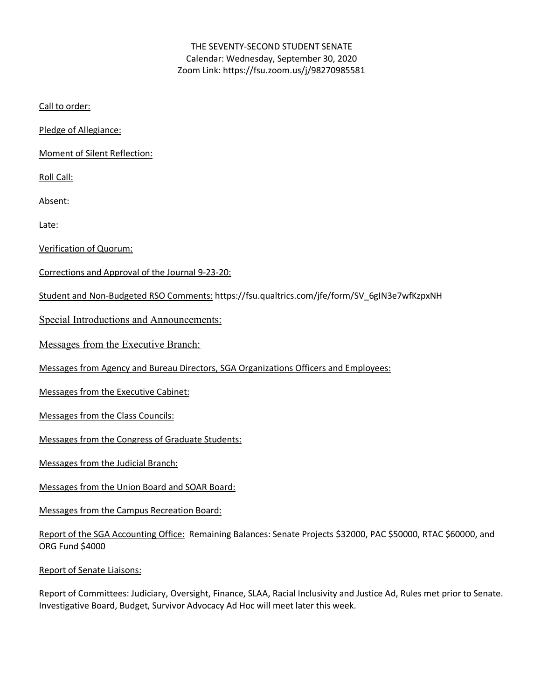### THE SEVENTY-SECOND STUDENT SENATE Calendar: Wednesday, September 30, 2020 Zoom Link: https://fsu.zoom.us/j/98270985581

Call to order:

Pledge of Allegiance:

Moment of Silent Reflection:

Roll Call:

Absent:

Late:

Verification of Quorum:

Corrections and Approval of the Journal 9-23-20:

Student and Non-Budgeted RSO Comments: https://fsu.qualtrics.com/jfe/form/SV\_6gIN3e7wfKzpxNH

Special Introductions and Announcements:

Messages from the Executive Branch:

Messages from Agency and Bureau Directors, SGA Organizations Officers and Employees:

Messages from the Executive Cabinet:

Messages from the Class Councils:

Messages from the Congress of Graduate Students:

Messages from the Judicial Branch:

Messages from the Union Board and SOAR Board:

Messages from the Campus Recreation Board:

Report of the SGA Accounting Office: Remaining Balances: Senate Projects \$32000, PAC \$50000, RTAC \$60000, and ORG Fund \$4000

Report of Senate Liaisons:

Report of Committees: Judiciary, Oversight, Finance, SLAA, Racial Inclusivity and Justice Ad, Rules met prior to Senate. Investigative Board, Budget, Survivor Advocacy Ad Hoc will meet later this week.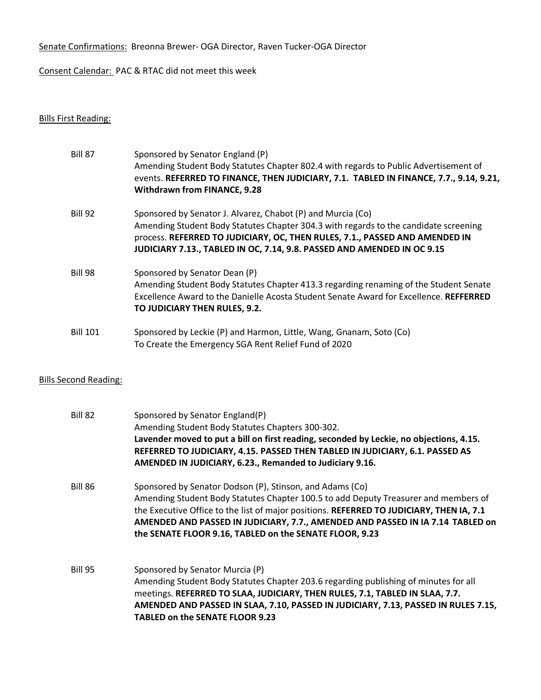Senate Confirmations: Breonna Brewer- OGA Director, Raven Tucker-OGA Director

Consent Calendar: PAC & RTAC did not meet this week

# Bills First Reading:

| <b>Bill 87</b>  | Sponsored by Senator England (P)                                                              |
|-----------------|-----------------------------------------------------------------------------------------------|
|                 | Amending Student Body Statutes Chapter 802.4 with regards to Public Advertisement of          |
|                 | events. REFERRED TO FINANCE, THEN JUDICIARY, 7.1. TABLED IN FINANCE, 7.7., 9.14, 9.21,        |
|                 | <b>Withdrawn from FINANCE, 9.28</b>                                                           |
| Bill 92         | Sponsored by Senator J. Alvarez, Chabot (P) and Murcia (Co)                                   |
|                 | Amending Student Body Statutes Chapter 304.3 with regards to the candidate screening          |
|                 | process. REFERRED TO JUDICIARY, OC, THEN RULES, 7.1., PASSED AND AMENDED IN                   |
|                 | JUDICIARY 7.13., TABLED IN OC, 7.14, 9.8. PASSED AND AMENDED IN OC 9.15                       |
| Bill 98         | Sponsored by Senator Dean (P)                                                                 |
|                 | Amending Student Body Statutes Chapter 413.3 regarding renaming of the Student Senate         |
|                 | Excellence Award to the Danielle Acosta Student Senate Award for Excellence. <b>REFFERRED</b> |
|                 | TO JUDICIARY THEN RULES, 9.2.                                                                 |
| <b>Bill 101</b> | Sponsored by Leckie (P) and Harmon, Little, Wang, Gnanam, Soto (Co)                           |
|                 | To Create the Emergency SGA Rent Relief Fund of 2020                                          |

## Bills Second Reading:

| Bill 82        | Sponsored by Senator England(P)<br>Amending Student Body Statutes Chapters 300-302.<br>Lavender moved to put a bill on first reading, seconded by Leckie, no objections, 4.15.<br>REFERRED TO JUDICIARY, 4.15. PASSED THEN TABLED IN JUDICIARY, 6.1. PASSED AS<br>AMENDED IN JUDICIARY, 6.23., Remanded to Judiciary 9.16.                                                               |
|----------------|------------------------------------------------------------------------------------------------------------------------------------------------------------------------------------------------------------------------------------------------------------------------------------------------------------------------------------------------------------------------------------------|
| Bill 86        | Sponsored by Senator Dodson (P), Stinson, and Adams (Co)<br>Amending Student Body Statutes Chapter 100.5 to add Deputy Treasurer and members of<br>the Executive Office to the list of major positions. REFERRED TO JUDICIARY, THEN IA, 7.1<br>AMENDED AND PASSED IN JUDICIARY, 7.7., AMENDED AND PASSED IN IA 7.14 TABLED on<br>the SENATE FLOOR 9.16, TABLED on the SENATE FLOOR, 9.23 |
| <b>Bill 95</b> | Sponsored by Senator Murcia (P)<br>Amending Student Body Statutes Chapter 203.6 regarding publishing of minutes for all<br>meetings. REFERRED TO SLAA, JUDICIARY, THEN RULES, 7.1, TABLED IN SLAA, 7.7.<br>AMENDED AND PASSED IN SLAA, 7.10, PASSED IN JUDICIARY, 7.13, PASSED IN RULES 7.15,<br><b>TABLED on the SENATE FLOOR 9.23</b>                                                  |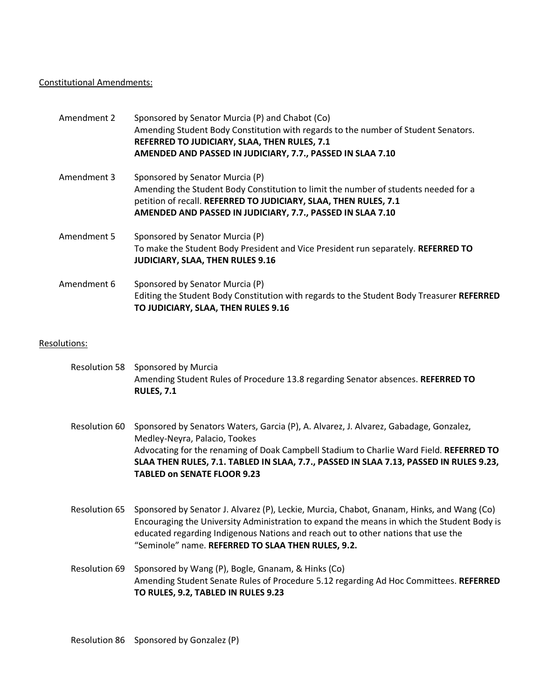#### Constitutional Amendments:

| Amendment 2 | Sponsored by Senator Murcia (P) and Chabot (Co)<br>Amending Student Body Constitution with regards to the number of Student Senators.<br>REFERRED TO JUDICIARY, SLAA, THEN RULES, 7.1<br>AMENDED AND PASSED IN JUDICIARY, 7.7., PASSED IN SLAA 7.10      |
|-------------|----------------------------------------------------------------------------------------------------------------------------------------------------------------------------------------------------------------------------------------------------------|
| Amendment 3 | Sponsored by Senator Murcia (P)<br>Amending the Student Body Constitution to limit the number of students needed for a<br>petition of recall. REFERRED TO JUDICIARY, SLAA, THEN RULES, 7.1<br>AMENDED AND PASSED IN JUDICIARY, 7.7., PASSED IN SLAA 7.10 |
| Amendment 5 | Sponsored by Senator Murcia (P)<br>To make the Student Body President and Vice President run separately. REFERRED TO<br><b>JUDICIARY, SLAA, THEN RULES 9.16</b>                                                                                          |
| Amendment 6 | Sponsored by Senator Murcia (P)<br>Editing the Student Body Constitution with regards to the Student Body Treasurer REFERRED<br>TO JUDICIARY, SLAA, THEN RULES 9.16                                                                                      |

#### Resolutions:

- Resolution 58 Sponsored by Murcia Amending Student Rules of Procedure 13.8 regarding Senator absences. **REFERRED TO RULES, 7.1**
- Resolution 60 Sponsored by Senators Waters, Garcia (P), A. Alvarez, J. Alvarez, Gabadage, Gonzalez, Medley-Neyra, Palacio, Tookes Advocating for the renaming of Doak Campbell Stadium to Charlie Ward Field. **REFERRED TO SLAA THEN RULES, 7.1. TABLED IN SLAA, 7.7., PASSED IN SLAA 7.13, PASSED IN RULES 9.23, TABLED on SENATE FLOOR 9.23**
- Resolution 65 Sponsored by Senator J. Alvarez (P), Leckie, Murcia, Chabot, Gnanam, Hinks, and Wang (Co) Encouraging the University Administration to expand the means in which the Student Body is educated regarding Indigenous Nations and reach out to other nations that use the "Seminole" name. **REFERRED TO SLAA THEN RULES, 9.2.**
- Resolution 69 Sponsored by Wang (P), Bogle, Gnanam, & Hinks (Co) Amending Student Senate Rules of Procedure 5.12 regarding Ad Hoc Committees. **REFERRED TO RULES, 9.2, TABLED IN RULES 9.23**